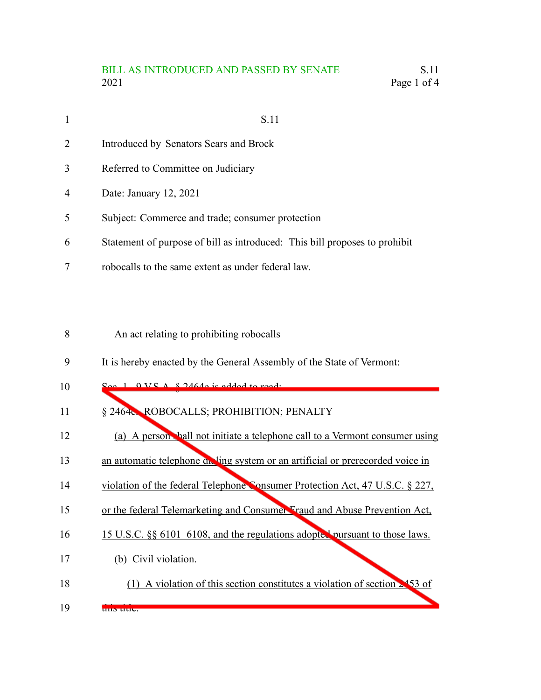## BILL AS INTRODUCED AND PASSED BY SENATE S.11 2021 Page 1 of 4

| 1              | S.11                                                                       |
|----------------|----------------------------------------------------------------------------|
| $\overline{2}$ | Introduced by Senators Sears and Brock                                     |
| 3              | Referred to Committee on Judiciary                                         |
| 4              | Date: January 12, 2021                                                     |
| 5              | Subject: Commerce and trade; consumer protection                           |
| 6              | Statement of purpose of bill as introduced: This bill proposes to prohibit |
|                | robocalls to the same extent as under federal law.                         |

An act relating to prohibiting robocalls 8

It is hereby enacted by the General Assembly of the State of Vermont: 9

| 10 |  | $\Omega_{\text{QQ}}$ 1 $\Omega$ VC $\Lambda$ $\Omega$ 2464 $\Omega$ is added to ready |
|----|--|---------------------------------------------------------------------------------------|
|    |  |                                                                                       |

- § 2464e. ROBOCALLS; PROHIBITION; PENALTY 11
- (a) A person shall not initiate a telephone call to a Vermont consumer using 12
- an automatic telephone dieling system or an artificial or prerecorded voice in 13
- violation of the federal Telephone Consumer Protection Act, 47 U.S.C. § 227, 14
- or the federal Telemarketing and Consumer Fraud and Abuse Prevention Act, 15
- 15 U.S.C. §§ 6101–6108, and the regulations adopted pursuant to those laws. 16
- (b) Civil violation. 17
- (1) A violation of this section constitutes a violation of section  $\geq 453$  of this title. 18 19
-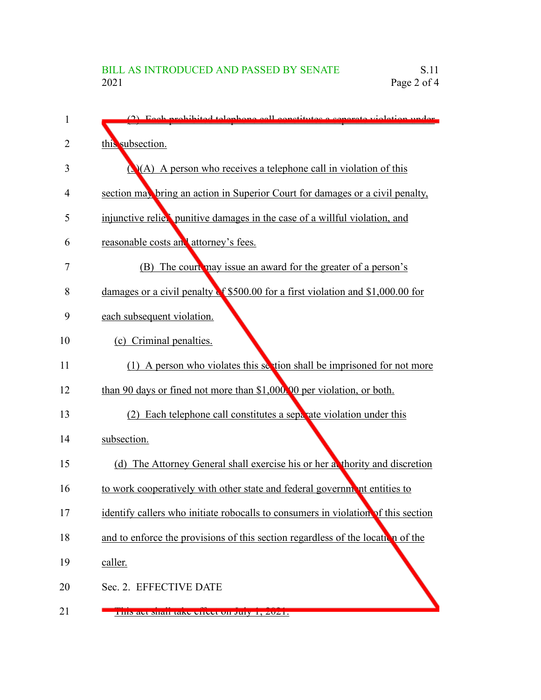| 1  | (2) Each prohibited telephone call constitutes a separate violation under         |
|----|-----------------------------------------------------------------------------------|
| 2  | this subsection.                                                                  |
| 3  | $\mathcal{O}(A)$ A person who receives a telephone call in violation of this      |
| 4  | section may bring an action in Superior Court for damages or a civil penalty,     |
| 5  | injunctive relier punitive damages in the case of a willful violation, and        |
| 6  | reasonable costs and attorney's fees.                                             |
| 7  | (B) The court may issue an award for the greater of a person's                    |
| 8  | damages or a civil penalty of \$500.00 for a first violation and \$1,000.00 for   |
| 9  | each subsequent violation.                                                        |
| 10 | (c) Criminal penalties.                                                           |
| 11 | (1) A person who violates this section shall be imprisoned for not more           |
| 12 | than 90 days or fined not more than \$1,000.00 per violation, or both.            |
| 13 | (2) Each telephone call constitutes a separate violation under this               |
| 14 | subsection.                                                                       |
| 15 | (d) The Attorney General shall exercise his or her a thority and discretion       |
| 16 | to work cooperatively with other state and federal government entities to         |
| 17 | identify callers who initiate robocalls to consumers in violation of this section |
| 18 | and to enforce the provisions of this section regardless of the location of the   |
| 19 | caller.                                                                           |
| 20 | Sec. 2. EFFECTIVE DATE                                                            |
| 21 | <u>FIIIS act shall take effect on July 1, 2021.</u>                               |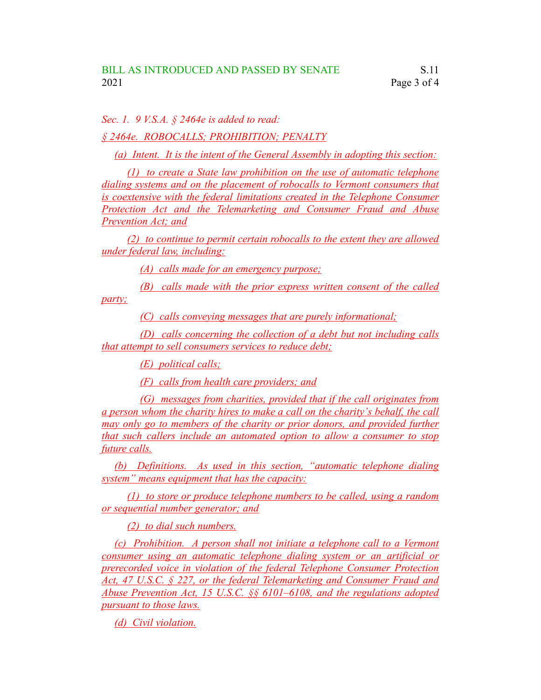*Sec. 1. 9 V.S.A. § 2464e is added to read:*

*§ 2464e. ROBOCALLS; PROHIBITION; PENALTY*

*(a) Intent. It is the intent of the General Assembly in adopting this section:*

*(1) to create a State law prohibition on the use of automatic telephone dialing systems and on the placement of robocalls to Vermont consumers that is coextensive with the federal limitations created in the Telephone Consumer Protection Act and the Telemarketing and Consumer Fraud and Abuse Prevention Act; and*

*(2) to continue to permit certain robocalls to the extent they are allowed under federal law, including:*

*(A) calls made for an emergency purpose;*

*(B) calls made with the prior express written consent of the called*

*party;*

*(C) calls conveying messages that are purely informational;*

*(D) calls concerning the collection of a debt but not including calls that attempt to sell consumers services to reduce debt;*

*(E) political calls;*

*(F) calls from health care providers; and*

*(G) messages from charities, provided that if the call originates from a person whom the charity hires to make a call on the charity's behalf, the call may only go to members of the charity or prior donors, and provided further that such callers include an automated option to allow a consumer to stop future calls.*

*(b) Definitions. As used in this section, "automatic telephone dialing system" means equipment that has the capacity:*

*(1) to store or produce telephone numbers to be called, using a random or sequential number generator; and*

*(2) to dial such numbers.*

*(c) Prohibition. A person shall not initiate a telephone call to a Vermont consumer using an automatic telephone dialing system or an artificial or prerecorded voice in violation of the federal Telephone Consumer Protection Act, 47 U.S.C. § 227, or the federal Telemarketing and Consumer Fraud and Abuse Prevention Act, 15 U.S.C. §§ 6101–6108, and the regulations adopted pursuant to those laws.*

*(d) Civil violation.*